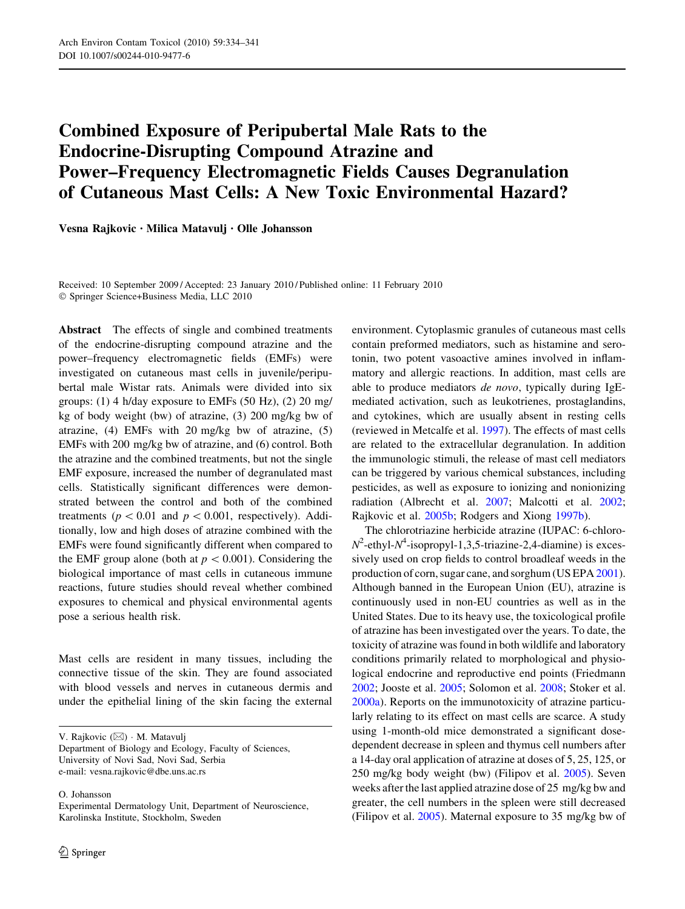# Combined Exposure of Peripubertal Male Rats to the Endocrine-Disrupting Compound Atrazine and Power–Frequency Electromagnetic Fields Causes Degranulation of Cutaneous Mast Cells: A New Toxic Environmental Hazard?

Vesna Rajkovic • Milica Matavulj • Olle Johansson

Received: 10 September 2009 / Accepted: 23 January 2010 / Published online: 11 February 2010 - Springer Science+Business Media, LLC 2010

Abstract The effects of single and combined treatments of the endocrine-disrupting compound atrazine and the power–frequency electromagnetic fields (EMFs) were investigated on cutaneous mast cells in juvenile/peripubertal male Wistar rats. Animals were divided into six groups: (1) 4 h/day exposure to EMFs (50 Hz), (2) 20 mg/ kg of body weight (bw) of atrazine, (3) 200 mg/kg bw of atrazine, (4) EMFs with 20 mg/kg bw of atrazine, (5) EMFs with 200 mg/kg bw of atrazine, and (6) control. Both the atrazine and the combined treatments, but not the single EMF exposure, increased the number of degranulated mast cells. Statistically significant differences were demonstrated between the control and both of the combined treatments ( $p<0.01$  and  $p<0.001$ , respectively). Additionally, low and high doses of atrazine combined with the EMFs were found significantly different when compared to the EMF group alone (both at  $p < 0.001$ ). Considering the biological importance of mast cells in cutaneous immune reactions, future studies should reveal whether combined exposures to chemical and physical environmental agents pose a serious health risk.

Mast cells are resident in many tissues, including the connective tissue of the skin. They are found associated with blood vessels and nerves in cutaneous dermis and under the epithelial lining of the skin facing the external

V. Rajkovic (&) - M. Matavulj Department of Biology and Ecology, Faculty of Sciences, University of Novi Sad, Novi Sad, Serbia

e-mail: vesna.rajkovic@dbe.uns.ac.rs

O. Johansson

environment. Cytoplasmic granules of cutaneous mast cells contain preformed mediators, such as histamine and serotonin, two potent vasoactive amines involved in inflammatory and allergic reactions. In addition, mast cells are able to produce mediators de novo, typically during IgEmediated activation, such as leukotrienes, prostaglandins, and cytokines, which are usually absent in resting cells (reviewed in Metcalfe et al. [1997\)](#page-6-0). The effects of mast cells are related to the extracellular degranulation. In addition the immunologic stimuli, the release of mast cell mediators can be triggered by various chemical substances, including pesticides, as well as exposure to ionizing and nonionizing radiation (Albrecht et al. [2007](#page-6-0); Malcotti et al. [2002](#page-6-0); Rajkovic et al. [2005b](#page-6-0); Rodgers and Xiong [1997b](#page-7-0)).

The chlorotriazine herbicide atrazine (IUPAC: 6-chloro- $N^2$ -ethyl- $N^4$ -isopropyl-1,3,5-triazine-2,4-diamine) is excessively used on crop fields to control broadleaf weeds in the production of corn, sugar cane, and sorghum (US EPA [2001](#page-7-0)). Although banned in the European Union (EU), atrazine is continuously used in non-EU countries as well as in the United States. Due to its heavy use, the toxicological profile of atrazine has been investigated over the years. To date, the toxicity of atrazine was found in both wildlife and laboratory conditions primarily related to morphological and physiological endocrine and reproductive end points (Friedmann [2002](#page-6-0); Jooste et al. [2005](#page-6-0); Solomon et al. [2008;](#page-7-0) Stoker et al. [2000a\)](#page-7-0). Reports on the immunotoxicity of atrazine particularly relating to its effect on mast cells are scarce. A study using 1-month-old mice demonstrated a significant dosedependent decrease in spleen and thymus cell numbers after a 14-day oral application of atrazine at doses of 5, 25, 125, or 250 mg/kg body weight (bw) (Filipov et al. [2005](#page-6-0)). Seven weeks after the last applied atrazine dose of 25 mg/kg bw and greater, the cell numbers in the spleen were still decreased (Filipov et al. [2005](#page-6-0)). Maternal exposure to 35 mg/kg bw of

Experimental Dermatology Unit, Department of Neuroscience, Karolinska Institute, Stockholm, Sweden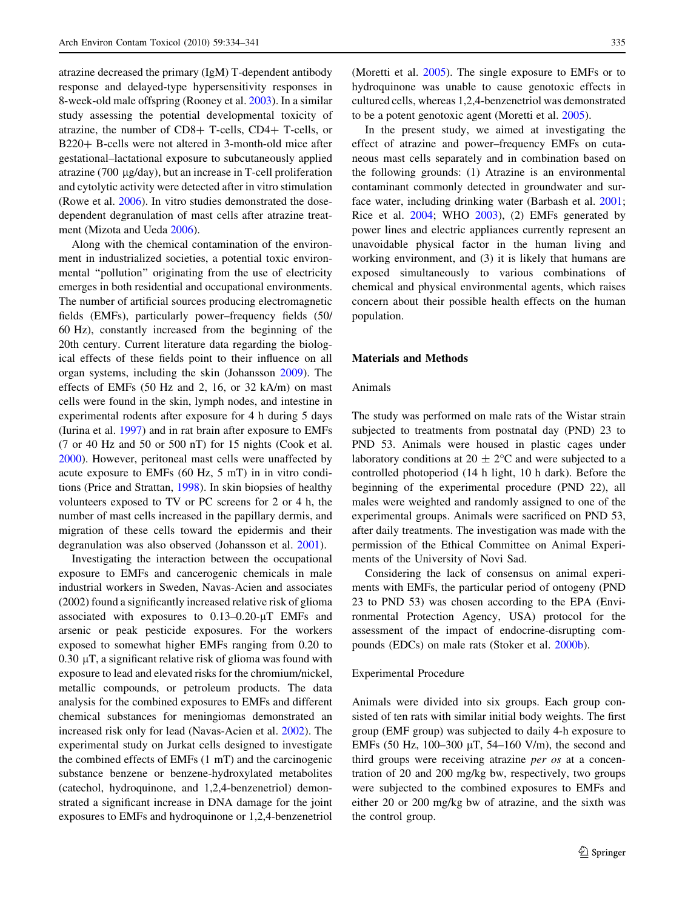atrazine decreased the primary (IgM) T-dependent antibody response and delayed-type hypersensitivity responses in 8-week-old male offspring (Rooney et al. [2003](#page-7-0)). In a similar study assessing the potential developmental toxicity of atrazine, the number of  $CD8+$  T-cells,  $CD4+$  T-cells, or B220+ B-cells were not altered in 3-month-old mice after gestational–lactational exposure to subcutaneously applied atrazine  $(700 \mu g/day)$ , but an increase in T-cell proliferation and cytolytic activity were detected after in vitro stimulation (Rowe et al. [2006](#page-7-0)). In vitro studies demonstrated the dosedependent degranulation of mast cells after atrazine treatment (Mizota and Ueda [2006](#page-6-0)).

Along with the chemical contamination of the environment in industrialized societies, a potential toxic environmental ''pollution'' originating from the use of electricity emerges in both residential and occupational environments. The number of artificial sources producing electromagnetic fields (EMFs), particularly power–frequency fields (50/ 60 Hz), constantly increased from the beginning of the 20th century. Current literature data regarding the biological effects of these fields point to their influence on all organ systems, including the skin (Johansson [2009\)](#page-6-0). The effects of EMFs (50 Hz and 2, 16, or 32 kA/m) on mast cells were found in the skin, lymph nodes, and intestine in experimental rodents after exposure for 4 h during 5 days (Iurina et al. [1997\)](#page-6-0) and in rat brain after exposure to EMFs (7 or 40 Hz and 50 or 500 nT) for 15 nights (Cook et al. [2000\)](#page-6-0). However, peritoneal mast cells were unaffected by acute exposure to EMFs (60 Hz, 5 mT) in in vitro conditions (Price and Strattan, [1998\)](#page-6-0). In skin biopsies of healthy volunteers exposed to TV or PC screens for 2 or 4 h, the number of mast cells increased in the papillary dermis, and migration of these cells toward the epidermis and their degranulation was also observed (Johansson et al. [2001](#page-6-0)).

Investigating the interaction between the occupational exposure to EMFs and cancerogenic chemicals in male industrial workers in Sweden, Navas-Acien and associates (2002) found a significantly increased relative risk of glioma associated with exposures to  $0.13-0.20$ - $\mu$ T EMFs and arsenic or peak pesticide exposures. For the workers exposed to somewhat higher EMFs ranging from 0.20 to 0.30  $\mu$ T, a significant relative risk of glioma was found with exposure to lead and elevated risks for the chromium/nickel, metallic compounds, or petroleum products. The data analysis for the combined exposures to EMFs and different chemical substances for meningiomas demonstrated an increased risk only for lead (Navas-Acien et al. [2002\)](#page-6-0). The experimental study on Jurkat cells designed to investigate the combined effects of EMFs (1 mT) and the carcinogenic substance benzene or benzene-hydroxylated metabolites (catechol, hydroquinone, and 1,2,4-benzenetriol) demonstrated a significant increase in DNA damage for the joint exposures to EMFs and hydroquinone or 1,2,4-benzenetriol

(Moretti et al. [2005\)](#page-6-0). The single exposure to EMFs or to hydroquinone was unable to cause genotoxic effects in cultured cells, whereas 1,2,4-benzenetriol was demonstrated to be a potent genotoxic agent (Moretti et al. [2005\)](#page-6-0).

In the present study, we aimed at investigating the effect of atrazine and power–frequency EMFs on cutaneous mast cells separately and in combination based on the following grounds: (1) Atrazine is an environmental contaminant commonly detected in groundwater and surface water, including drinking water (Barbash et al. [2001](#page-6-0); Rice et al. [2004;](#page-6-0) WHO [2003](#page-7-0)), (2) EMFs generated by power lines and electric appliances currently represent an unavoidable physical factor in the human living and working environment, and (3) it is likely that humans are exposed simultaneously to various combinations of chemical and physical environmental agents, which raises concern about their possible health effects on the human population.

#### Materials and Methods

# Animals

The study was performed on male rats of the Wistar strain subjected to treatments from postnatal day (PND) 23 to PND 53. Animals were housed in plastic cages under laboratory conditions at  $20 \pm 2^{\circ}$ C and were subjected to a controlled photoperiod (14 h light, 10 h dark). Before the beginning of the experimental procedure (PND 22), all males were weighted and randomly assigned to one of the experimental groups. Animals were sacrificed on PND 53, after daily treatments. The investigation was made with the permission of the Ethical Committee on Animal Experiments of the University of Novi Sad.

Considering the lack of consensus on animal experiments with EMFs, the particular period of ontogeny (PND 23 to PND 53) was chosen according to the EPA (Environmental Protection Agency, USA) protocol for the assessment of the impact of endocrine-disrupting compounds (EDCs) on male rats (Stoker et al. [2000b](#page-7-0)).

#### Experimental Procedure

Animals were divided into six groups. Each group consisted of ten rats with similar initial body weights. The first group (EMF group) was subjected to daily 4-h exposure to EMFs (50 Hz, 100–300  $\mu$ T, 54–160 V/m), the second and third groups were receiving atrazine *per os* at a concentration of 20 and 200 mg/kg bw, respectively, two groups were subjected to the combined exposures to EMFs and either 20 or 200 mg/kg bw of atrazine, and the sixth was the control group.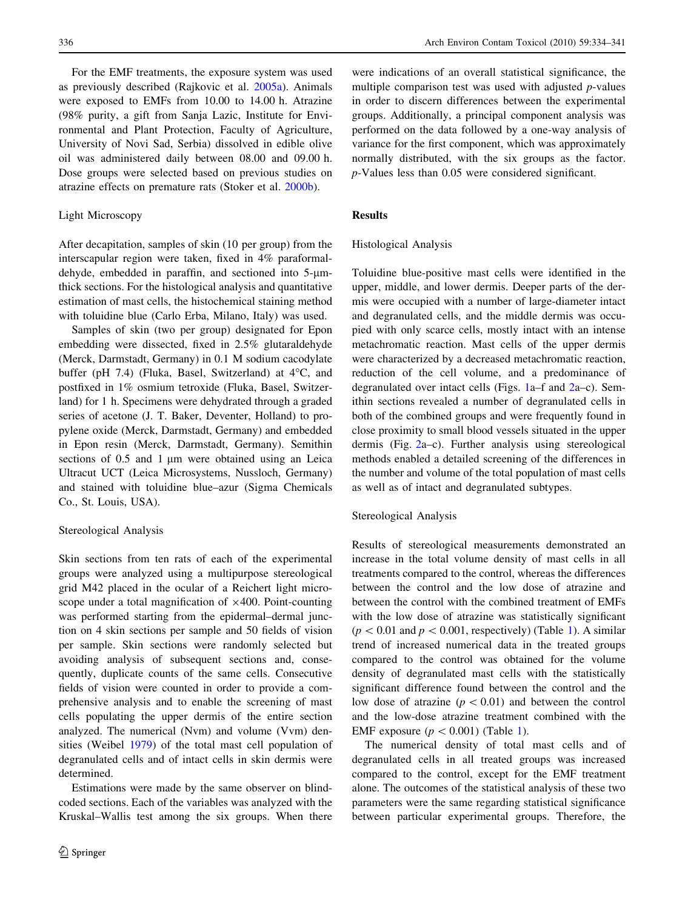For the EMF treatments, the exposure system was used as previously described (Rajkovic et al. [2005a](#page-6-0)). Animals were exposed to EMFs from 10.00 to 14.00 h. Atrazine (98% purity, a gift from Sanja Lazic, Institute for Environmental and Plant Protection, Faculty of Agriculture, University of Novi Sad, Serbia) dissolved in edible olive oil was administered daily between 08.00 and 09.00 h. Dose groups were selected based on previous studies on atrazine effects on premature rats (Stoker et al. [2000b\)](#page-7-0).

## Light Microscopy

After decapitation, samples of skin (10 per group) from the interscapular region were taken, fixed in 4% paraformaldehyde, embedded in paraffin, and sectioned into  $5-\mu m$ thick sections. For the histological analysis and quantitative estimation of mast cells, the histochemical staining method with toluidine blue (Carlo Erba, Milano, Italy) was used.

Samples of skin (two per group) designated for Epon embedding were dissected, fixed in 2.5% glutaraldehyde (Merck, Darmstadt, Germany) in 0.1 M sodium cacodylate buffer (pH 7.4) (Fluka, Basel, Switzerland) at  $4^{\circ}$ C, and postfixed in 1% osmium tetroxide (Fluka, Basel, Switzerland) for 1 h. Specimens were dehydrated through a graded series of acetone (J. T. Baker, Deventer, Holland) to propylene oxide (Merck, Darmstadt, Germany) and embedded in Epon resin (Merck, Darmstadt, Germany). Semithin sections of  $0.5$  and  $1 \mu m$  were obtained using an Leica Ultracut UCT (Leica Microsystems, Nussloch, Germany) and stained with toluidine blue–azur (Sigma Chemicals Co., St. Louis, USA).

#### Stereological Analysis

Skin sections from ten rats of each of the experimental groups were analyzed using a multipurpose stereological grid M42 placed in the ocular of a Reichert light microscope under a total magnification of  $\times$ 400. Point-counting was performed starting from the epidermal–dermal junction on 4 skin sections per sample and 50 fields of vision per sample. Skin sections were randomly selected but avoiding analysis of subsequent sections and, consequently, duplicate counts of the same cells. Consecutive fields of vision were counted in order to provide a comprehensive analysis and to enable the screening of mast cells populating the upper dermis of the entire section analyzed. The numerical (Nvm) and volume (Vvm) densities (Weibel [1979\)](#page-7-0) of the total mast cell population of degranulated cells and of intact cells in skin dermis were determined.

Estimations were made by the same observer on blindcoded sections. Each of the variables was analyzed with the Kruskal–Wallis test among the six groups. When there

were indications of an overall statistical significance, the multiple comparison test was used with adjusted  $p$ -values in order to discern differences between the experimental groups. Additionally, a principal component analysis was performed on the data followed by a one-way analysis of variance for the first component, which was approximately normally distributed, with the six groups as the factor. p-Values less than 0.05 were considered significant.

# Results

# Histological Analysis

Toluidine blue-positive mast cells were identified in the upper, middle, and lower dermis. Deeper parts of the dermis were occupied with a number of large-diameter intact and degranulated cells, and the middle dermis was occupied with only scarce cells, mostly intact with an intense metachromatic reaction. Mast cells of the upper dermis were characterized by a decreased metachromatic reaction, reduction of the cell volume, and a predominance of degranulated over intact cells (Figs. [1](#page-3-0)a–f and [2](#page-4-0)a–c). Semithin sections revealed a number of degranulated cells in both of the combined groups and were frequently found in close proximity to small blood vessels situated in the upper dermis (Fig. [2a](#page-4-0)–c). Further analysis using stereological methods enabled a detailed screening of the differences in the number and volume of the total population of mast cells as well as of intact and degranulated subtypes.

# Stereological Analysis

Results of stereological measurements demonstrated an increase in the total volume density of mast cells in all treatments compared to the control, whereas the differences between the control and the low dose of atrazine and between the control with the combined treatment of EMFs with the low dose of atrazine was statistically significant  $(p\lt 0.01$  and  $p\lt 0.001$ , respectively) (Table [1\)](#page-5-0). A similar trend of increased numerical data in the treated groups compared to the control was obtained for the volume density of degranulated mast cells with the statistically significant difference found between the control and the low dose of atrazine  $(p < 0.01)$  and between the control and the low-dose atrazine treatment combined with the EMF exposure  $(p < 0.001)$  $(p < 0.001)$  (Table 1).

The numerical density of total mast cells and of degranulated cells in all treated groups was increased compared to the control, except for the EMF treatment alone. The outcomes of the statistical analysis of these two parameters were the same regarding statistical significance between particular experimental groups. Therefore, the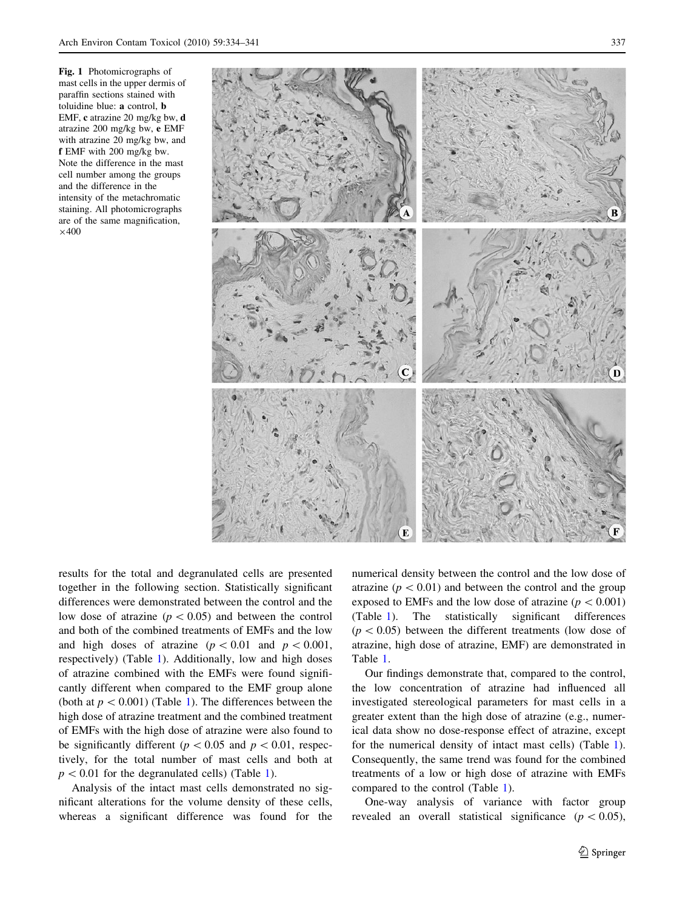<span id="page-3-0"></span>Fig. 1 Photomicrographs of mast cells in the upper dermis of paraffin sections stained with toluidine blue: a control, b EMF, c atrazine 20 mg/kg bw, d atrazine 200 mg/kg bw, e EMF with atrazine 20 mg/kg bw, and f EMF with 200 mg/kg bw. Note the difference in the mast cell number among the groups and the difference in the intensity of the metachromatic staining. All photomicrographs are of the same magnification,  $\times$ 400



results for the total and degranulated cells are presented together in the following section. Statistically significant differences were demonstrated between the control and the low dose of atrazine  $(p<0.05)$  and between the control and both of the combined treatments of EMFs and the low and high doses of atrazine  $(p<0.01$  and  $p<0.001$ , respectively) (Table [1](#page-5-0)). Additionally, low and high doses of atrazine combined with the EMFs were found significantly different when compared to the EMF group alone (both at  $p < 0.001$  $p < 0.001$ ) (Table 1). The differences between the high dose of atrazine treatment and the combined treatment of EMFs with the high dose of atrazine were also found to be significantly different ( $p<0.05$  and  $p<0.01$ , respectively, for the total number of mast cells and both at  $p < 0.01$  $p < 0.01$  for the degranulated cells) (Table 1).

Analysis of the intact mast cells demonstrated no significant alterations for the volume density of these cells, whereas a significant difference was found for the numerical density between the control and the low dose of atrazine  $(p < 0.01)$  and between the control and the group exposed to EMFs and the low dose of atrazine ( $p < 0.001$ ) (Table [1\)](#page-5-0). The statistically significant differences  $(p < 0.05)$  between the different treatments (low dose of atrazine, high dose of atrazine, EMF) are demonstrated in Table [1](#page-5-0).

Our findings demonstrate that, compared to the control, the low concentration of atrazine had influenced all investigated stereological parameters for mast cells in a greater extent than the high dose of atrazine (e.g., numerical data show no dose-response effect of atrazine, except for the numerical density of intact mast cells) (Table [1](#page-5-0)). Consequently, the same trend was found for the combined treatments of a low or high dose of atrazine with EMFs compared to the control (Table [1\)](#page-5-0).

One-way analysis of variance with factor group revealed an overall statistical significance ( $p\lt 0.05$ ),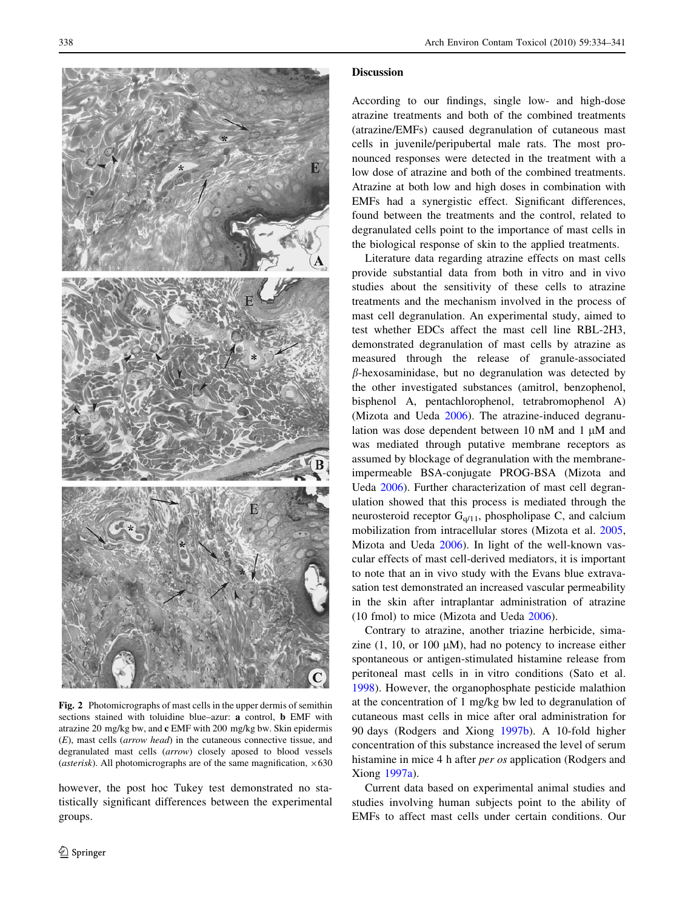<span id="page-4-0"></span>

Fig. 2 Photomicrographs of mast cells in the upper dermis of semithin sections stained with toluidine blue–azur: a control, b EMF with atrazine 20 mg/kg bw, and c EMF with 200 mg/kg bw. Skin epidermis (E), mast cells (arrow head) in the cutaneous connective tissue, and degranulated mast cells (arrow) closely aposed to blood vessels (asterisk). All photomicrographs are of the same magnification,  $\times 630$ 

however, the post hoc Tukey test demonstrated no statistically significant differences between the experimental groups.

## **Discussion**

According to our findings, single low- and high-dose atrazine treatments and both of the combined treatments (atrazine/EMFs) caused degranulation of cutaneous mast cells in juvenile/peripubertal male rats. The most pronounced responses were detected in the treatment with a low dose of atrazine and both of the combined treatments. Atrazine at both low and high doses in combination with EMFs had a synergistic effect. Significant differences, found between the treatments and the control, related to degranulated cells point to the importance of mast cells in the biological response of skin to the applied treatments.

Literature data regarding atrazine effects on mast cells provide substantial data from both in vitro and in vivo studies about the sensitivity of these cells to atrazine treatments and the mechanism involved in the process of mast cell degranulation. An experimental study, aimed to test whether EDCs affect the mast cell line RBL-2H3, demonstrated degranulation of mast cells by atrazine as measured through the release of granule-associated  $\beta$ -hexosaminidase, but no degranulation was detected by the other investigated substances (amitrol, benzophenol, bisphenol A, pentachlorophenol, tetrabromophenol A) (Mizota and Ueda [2006\)](#page-6-0). The atrazine-induced degranulation was dose dependent between 10 nM and 1  $\mu$ M and was mediated through putative membrane receptors as assumed by blockage of degranulation with the membraneimpermeable BSA-conjugate PROG-BSA (Mizota and Ueda [2006\)](#page-6-0). Further characterization of mast cell degranulation showed that this process is mediated through the neurosteroid receptor  $G<sub>q/11</sub>$ , phospholipase C, and calcium mobilization from intracellular stores (Mizota et al. [2005,](#page-6-0) Mizota and Ueda [2006](#page-6-0)). In light of the well-known vascular effects of mast cell-derived mediators, it is important to note that an in vivo study with the Evans blue extravasation test demonstrated an increased vascular permeability in the skin after intraplantar administration of atrazine (10 fmol) to mice (Mizota and Ueda [2006\)](#page-6-0).

Contrary to atrazine, another triazine herbicide, simazine  $(1, 10, \text{or } 100 \mu M)$ , had no potency to increase either spontaneous or antigen-stimulated histamine release from peritoneal mast cells in in vitro conditions (Sato et al. [1998](#page-7-0)). However, the organophosphate pesticide malathion at the concentration of 1 mg/kg bw led to degranulation of cutaneous mast cells in mice after oral administration for 90 days (Rodgers and Xiong [1997b](#page-7-0)). A 10-fold higher concentration of this substance increased the level of serum histamine in mice 4 h after *per os* application (Rodgers and Xiong [1997a\)](#page-7-0).

Current data based on experimental animal studies and studies involving human subjects point to the ability of EMFs to affect mast cells under certain conditions. Our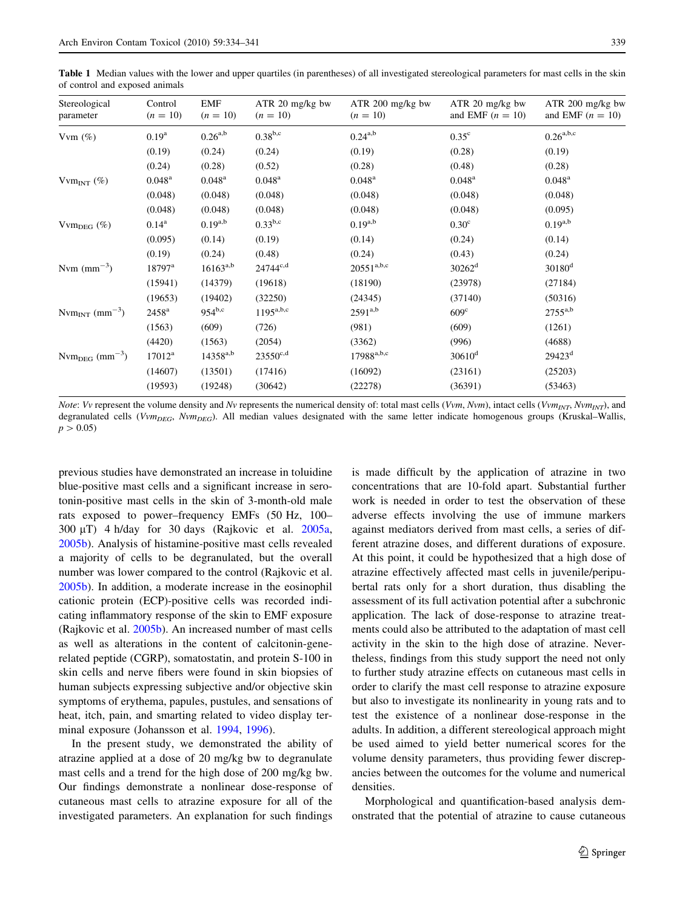<span id="page-5-0"></span>Table 1 Median values with the lower and upper quartiles (in parentheses) of all investigated stereological parameters for mast cells in the skin of control and exposed animals

| Stereological<br>parameter      | Control<br>$(n = 10)$ | <b>EMF</b><br>$(n = 10)$ | ATR $20 \frac{\text{mg}}{\text{kg}}$ bw<br>$(n = 10)$ | ATR 200 mg/kg bw<br>$(n = 10)$ | ATR $20 \frac{\text{mg}}{\text{kg}}$ bw<br>and EMF $(n = 10)$ | ATR $200$ mg/kg bw<br>and EMF $(n = 10)$ |
|---------------------------------|-----------------------|--------------------------|-------------------------------------------------------|--------------------------------|---------------------------------------------------------------|------------------------------------------|
| $Vvm$ (%)                       | $0.19^{a}$            | $0.26^{a,b}$             | $0.38^{b,c}$                                          | $0.24^{a,b}$                   | $0.35^{\circ}$                                                | $0.26^{\rm a,b,c}$                       |
|                                 | (0.19)                | (0.24)                   | (0.24)                                                | (0.19)                         | (0.28)                                                        | (0.19)                                   |
|                                 | (0.24)                | (0.28)                   | (0.52)                                                | (0.28)                         | (0.48)                                                        | (0.28)                                   |
| $Vvm_{INT}$ (%)                 | $0.048^{\rm a}$       | $0.048^{\rm a}$          | $0.048^{\rm a}$                                       | $0.048^{\rm a}$                | $0.048^{\rm a}$                                               | $0.048^{\rm a}$                          |
|                                 | (0.048)               | (0.048)                  | (0.048)                                               | (0.048)                        | (0.048)                                                       | (0.048)                                  |
|                                 | (0.048)               | (0.048)                  | (0.048)                                               | (0.048)                        | (0.048)                                                       | (0.095)                                  |
| $Vvm_{DEG} (\%)$                | $0.14^{\rm a}$        | $0.19^{a,b}$             | $0.33^{b,c}$                                          | $0.19^{a,b}$                   | 0.30 <sup>c</sup>                                             | $0.19^{a,b}$                             |
|                                 | (0.095)               | (0.14)                   | (0.19)                                                | (0.14)                         | (0.24)                                                        | (0.14)                                   |
|                                 | (0.19)                | (0.24)                   | (0.48)                                                | (0.24)                         | (0.43)                                                        | (0.24)                                   |
| Nvm $\text{(mm)}^{-3}$ )        | $18797^{\rm a}$       | $16163^{a,b}$            | $24744^{c,d}$                                         | $20551^{\rm a,b,c}$            | $30262^d$                                                     | $30180$ <sup>d</sup>                     |
|                                 | (15941)               | (14379)                  | (19618)                                               | (18190)                        | (23978)                                                       | (27184)                                  |
|                                 | (19653)               | (19402)                  | (32250)                                               | (24345)                        | (37140)                                                       | (50316)                                  |
| $Nvm_{INT}$ (mm <sup>-3</sup> ) | $2458^{\rm a}$        | $954^{b,c}$              | $1195^{a,b,c}$                                        | $2591^{a,b}$                   | 609 <sup>c</sup>                                              | $2755^{a,b}$                             |
|                                 | (1563)                | (609)                    | (726)                                                 | (981)                          | (609)                                                         | (1261)                                   |
|                                 | (4420)                | (1563)                   | (2054)                                                | (3362)                         | (996)                                                         | (4688)                                   |
| $Nvm_{DEG}$ (mm <sup>-3</sup> ) | $17012^a$             | $14358^{a,b}$            | $23550^{c,d}$                                         | $17988^{a,b,c}$                | $30610^d$                                                     | $29423^d$                                |
|                                 | (14607)               | (13501)                  | (17416)                                               | (16092)                        | (23161)                                                       | (25203)                                  |
|                                 | (19593)               | (19248)                  | (30642)                                               | (22278)                        | (36391)                                                       | (53463)                                  |

*Note: Vv* represent the volume density and Nv represents the numerical density of: total mast cells (Vvm, Nvm), intact cells (Vvm<sub>INT</sub>, Nvm<sub>INT</sub>), and degranulated cells ( $Vvm_{DEG}$ ,  $Nvm_{DEG}$ ). All median values designated with the same letter indicate homogenous groups (Kruskal–Wallis,  $p > 0.05$ 

previous studies have demonstrated an increase in toluidine blue-positive mast cells and a significant increase in serotonin-positive mast cells in the skin of 3-month-old male rats exposed to power–frequency EMFs (50 Hz, 100– 300  $\mu$ T) 4 h/day for 30 days (Rajkovic et al. [2005a,](#page-6-0) [2005b\)](#page-6-0). Analysis of histamine-positive mast cells revealed a majority of cells to be degranulated, but the overall number was lower compared to the control (Rajkovic et al. [2005b\)](#page-6-0). In addition, a moderate increase in the eosinophil cationic protein (ECP)-positive cells was recorded indicating inflammatory response of the skin to EMF exposure (Rajkovic et al. [2005b\)](#page-6-0). An increased number of mast cells as well as alterations in the content of calcitonin-generelated peptide (CGRP), somatostatin, and protein S-100 in skin cells and nerve fibers were found in skin biopsies of human subjects expressing subjective and/or objective skin symptoms of erythema, papules, pustules, and sensations of heat, itch, pain, and smarting related to video display terminal exposure (Johansson et al. [1994,](#page-6-0) [1996\)](#page-6-0).

In the present study, we demonstrated the ability of atrazine applied at a dose of 20 mg/kg bw to degranulate mast cells and a trend for the high dose of 200 mg/kg bw. Our findings demonstrate a nonlinear dose-response of cutaneous mast cells to atrazine exposure for all of the investigated parameters. An explanation for such findings is made difficult by the application of atrazine in two concentrations that are 10-fold apart. Substantial further work is needed in order to test the observation of these adverse effects involving the use of immune markers against mediators derived from mast cells, a series of different atrazine doses, and different durations of exposure. At this point, it could be hypothesized that a high dose of atrazine effectively affected mast cells in juvenile/peripubertal rats only for a short duration, thus disabling the assessment of its full activation potential after a subchronic application. The lack of dose-response to atrazine treatments could also be attributed to the adaptation of mast cell activity in the skin to the high dose of atrazine. Nevertheless, findings from this study support the need not only to further study atrazine effects on cutaneous mast cells in order to clarify the mast cell response to atrazine exposure but also to investigate its nonlinearity in young rats and to test the existence of a nonlinear dose-response in the adults. In addition, a different stereological approach might be used aimed to yield better numerical scores for the volume density parameters, thus providing fewer discrepancies between the outcomes for the volume and numerical densities.

Morphological and quantification-based analysis demonstrated that the potential of atrazine to cause cutaneous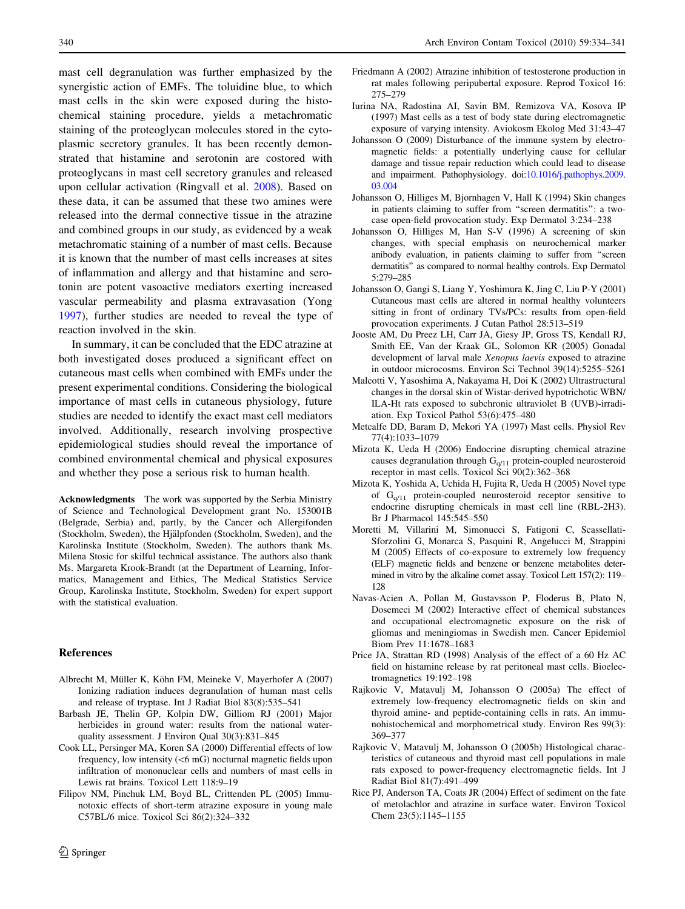<span id="page-6-0"></span>mast cell degranulation was further emphasized by the synergistic action of EMFs. The toluidine blue, to which mast cells in the skin were exposed during the histochemical staining procedure, yields a metachromatic staining of the proteoglycan molecules stored in the cytoplasmic secretory granules. It has been recently demonstrated that histamine and serotonin are costored with proteoglycans in mast cell secretory granules and released upon cellular activation (Ringvall et al. [2008\)](#page-7-0). Based on these data, it can be assumed that these two amines were released into the dermal connective tissue in the atrazine and combined groups in our study, as evidenced by a weak metachromatic staining of a number of mast cells. Because it is known that the number of mast cells increases at sites of inflammation and allergy and that histamine and serotonin are potent vasoactive mediators exerting increased vascular permeability and plasma extravasation (Yong [1997\)](#page-7-0), further studies are needed to reveal the type of reaction involved in the skin.

In summary, it can be concluded that the EDC atrazine at both investigated doses produced a significant effect on cutaneous mast cells when combined with EMFs under the present experimental conditions. Considering the biological importance of mast cells in cutaneous physiology, future studies are needed to identify the exact mast cell mediators involved. Additionally, research involving prospective epidemiological studies should reveal the importance of combined environmental chemical and physical exposures and whether they pose a serious risk to human health.

Acknowledgments The work was supported by the Serbia Ministry of Science and Technological Development grant No. 153001B (Belgrade, Serbia) and, partly, by the Cancer och Allergifonden (Stockholm, Sweden), the Hjälpfonden (Stockholm, Sweden), and the Karolinska Institute (Stockholm, Sweden). The authors thank Ms. Milena Stosic for skilful technical assistance. The authors also thank Ms. Margareta Krook-Brandt (at the Department of Learning, Informatics, Management and Ethics, The Medical Statistics Service Group, Karolinska Institute, Stockholm, Sweden) for expert support with the statistical evaluation.

## References

- Albrecht M, Müller K, Köhn FM, Meineke V, Mayerhofer A (2007) Ionizing radiation induces degranulation of human mast cells and release of tryptase. Int J Radiat Biol 83(8):535–541
- Barbash JE, Thelin GP, Kolpin DW, Gilliom RJ (2001) Major herbicides in ground water: results from the national waterquality assessment. J Environ Qual 30(3):831–845
- Cook LL, Persinger MA, Koren SA (2000) Differential effects of low frequency, low intensity  $( $6 \text{ mG}$ )$  nocturnal magnetic fields upon infiltration of mononuclear cells and numbers of mast cells in Lewis rat brains. Toxicol Lett 118:9–19
- Filipov NM, Pinchuk LM, Boyd BL, Crittenden PL (2005) Immunotoxic effects of short-term atrazine exposure in young male C57BL/6 mice. Toxicol Sci 86(2):324–332
- Friedmann A (2002) Atrazine inhibition of testosterone production in rat males following peripubertal exposure. Reprod Toxicol 16: 275–279
- Iurina NA, Radostina AI, Savin BM, Remizova VA, Kosova IP (1997) Mast cells as a test of body state during electromagnetic exposure of varying intensity. Aviokosm Ekolog Med 31:43–47
- Johansson O (2009) Disturbance of the immune system by electromagnetic fields: a potentially underlying cause for cellular damage and tissue repair reduction which could lead to disease and impairment. Pathophysiology. doi[:10.1016/j.pathophys.2009.](http://dx.doi.org/10.1016/j.pathophys.2009.03.004) [03.004](http://dx.doi.org/10.1016/j.pathophys.2009.03.004)
- Johansson O, Hilliges M, Bjornhagen V, Hall K (1994) Skin changes in patients claiming to suffer from ''screen dermatitis'': a twocase open-field provocation study. Exp Dermatol 3:234–238
- Johansson O, Hilliges M, Han S-V (1996) A screening of skin changes, with special emphasis on neurochemical marker anibody evaluation, in patients claiming to suffer from ''screen dermatitis'' as compared to normal healthy controls. Exp Dermatol 5:279–285
- Johansson O, Gangi S, Liang Y, Yoshimura K, Jing C, Liu P-Y (2001) Cutaneous mast cells are altered in normal healthy volunteers sitting in front of ordinary TVs/PCs: results from open-field provocation experiments. J Cutan Pathol 28:513–519
- Jooste AM, Du Preez LH, Carr JA, Giesy JP, Gross TS, Kendall RJ, Smith EE, Van der Kraak GL, Solomon KR (2005) Gonadal development of larval male Xenopus laevis exposed to atrazine in outdoor microcosms. Environ Sci Technol 39(14):5255–5261
- Malcotti V, Yasoshima A, Nakayama H, Doi K (2002) Ultrastructural changes in the dorsal skin of Wistar-derived hypotrichotic WBN/ ILA-Ht rats exposed to subchronic ultraviolet B (UVB)-irradiation. Exp Toxicol Pathol 53(6):475–480
- Metcalfe DD, Baram D, Mekori YA (1997) Mast cells. Physiol Rev 77(4):1033–1079
- Mizota K, Ueda H (2006) Endocrine disrupting chemical atrazine causes degranulation through Gq/11 protein-coupled neurosteroid receptor in mast cells. Toxicol Sci 90(2):362–368
- Mizota K, Yoshida A, Uchida H, Fujita R, Ueda H (2005) Novel type of  $G<sub>q/11</sub>$  protein-coupled neurosteroid receptor sensitive to endocrine disrupting chemicals in mast cell line (RBL-2H3). Br J Pharmacol 145:545–550
- Moretti M, Villarini M, Simonucci S, Fatigoni C, Scassellati-Sforzolini G, Monarca S, Pasquini R, Angelucci M, Strappini M (2005) Effects of co-exposure to extremely low frequency (ELF) magnetic fields and benzene or benzene metabolites determined in vitro by the alkaline comet assay. Toxicol Lett 157(2): 119– 128
- Navas-Acien A, Pollan M, Gustavsson P, Floderus B, Plato N, Dosemeci M (2002) Interactive effect of chemical substances and occupational electromagnetic exposure on the risk of gliomas and meningiomas in Swedish men. Cancer Epidemiol Biom Prev 11:1678–1683
- Price JA, Strattan RD (1998) Analysis of the effect of a 60 Hz AC field on histamine release by rat peritoneal mast cells. Bioelectromagnetics 19:192–198
- Rajkovic V, Matavulj M, Johansson O (2005a) The effect of extremely low-frequency electromagnetic fields on skin and thyroid amine- and peptide-containing cells in rats. An immunohistochemical and morphometrical study. Environ Res 99(3): 369–377
- Rajkovic V, Matavulj M, Johansson O (2005b) Histological characteristics of cutaneous and thyroid mast cell populations in male rats exposed to power-frequency electromagnetic fields. Int J Radiat Biol 81(7):491–499
- Rice PJ, Anderson TA, Coats JR (2004) Effect of sediment on the fate of metolachlor and atrazine in surface water. Environ Toxicol Chem 23(5):1145–1155